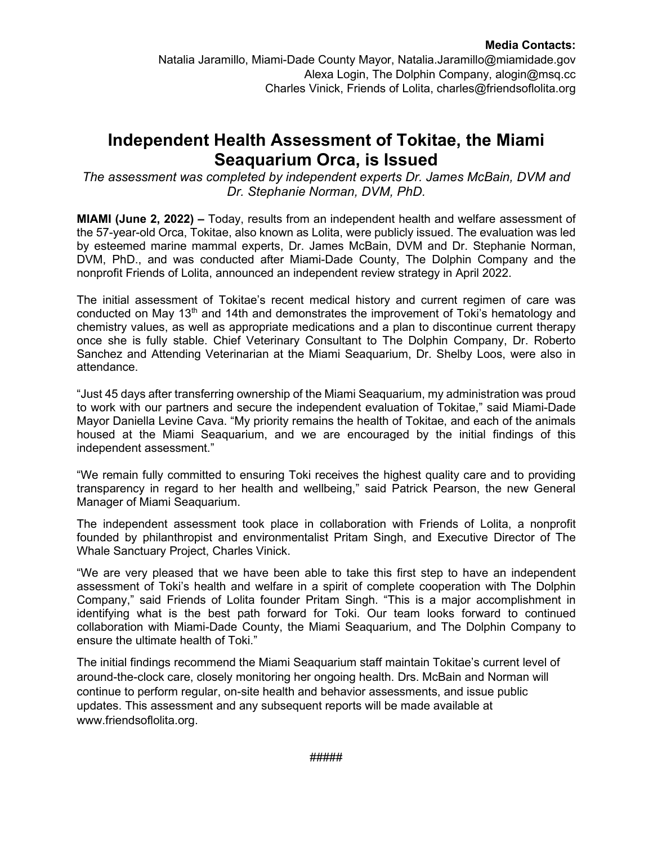## **Independent Health Assessment of Tokitae, the Miami Seaquarium Orca, is Issued**

*The assessment was completed by independent experts Dr. James McBain, DVM and Dr. Stephanie Norman, DVM, PhD.*

**MIAMI (June 2, 2022) –** Today, results from an independent health and welfare assessment of the 57-year-old Orca, Tokitae, also known as Lolita, were publicly issued. The evaluation was led by esteemed marine mammal experts, Dr. James McBain, DVM and Dr. Stephanie Norman, DVM, PhD., and was conducted after Miami-Dade County, The Dolphin Company and the nonprofit Friends of Lolita, announced an independent review strategy in April 2022.

The initial assessment of Tokitae's recent medical history and current regimen of care was conducted on May 13<sup>th</sup> and 14th and demonstrates the improvement of Toki's hematology and chemistry values, as well as appropriate medications and a plan to discontinue current therapy once she is fully stable. Chief Veterinary Consultant to The Dolphin Company, Dr. Roberto Sanchez and Attending Veterinarian at the Miami Seaquarium, Dr. Shelby Loos, were also in attendance.

"Just 45 days after transferring ownership of the Miami Seaquarium, my administration was proud to work with our partners and secure the independent evaluation of Tokitae," said Miami-Dade Mayor Daniella Levine Cava. "My priority remains the health of Tokitae, and each of the animals housed at the Miami Seaquarium, and we are encouraged by the initial findings of this independent assessment."

"We remain fully committed to ensuring Toki receives the highest quality care and to providing transparency in regard to her health and wellbeing," said Patrick Pearson, the new General Manager of Miami Seaquarium.

The independent assessment took place in collaboration with Friends of Lolita, a nonprofit founded by philanthropist and environmentalist Pritam Singh, and Executive Director of The Whale Sanctuary Project, Charles Vinick.

"We are very pleased that we have been able to take this first step to have an independent assessment of Toki's health and welfare in a spirit of complete cooperation with The Dolphin Company," said Friends of Lolita founder Pritam Singh. "This is a major accomplishment in identifying what is the best path forward for Toki. Our team looks forward to continued collaboration with Miami-Dade County, the Miami Seaquarium, and The Dolphin Company to ensure the ultimate health of Toki."

The initial findings recommend the Miami Seaquarium staff maintain Tokitae's current level of around-the-clock care, closely monitoring her ongoing health. Drs. McBain and Norman will continue to perform regular, on-site health and behavior assessments, and issue public updates. This assessment and any subsequent reports will be made available at www.friendsoflolita.org.